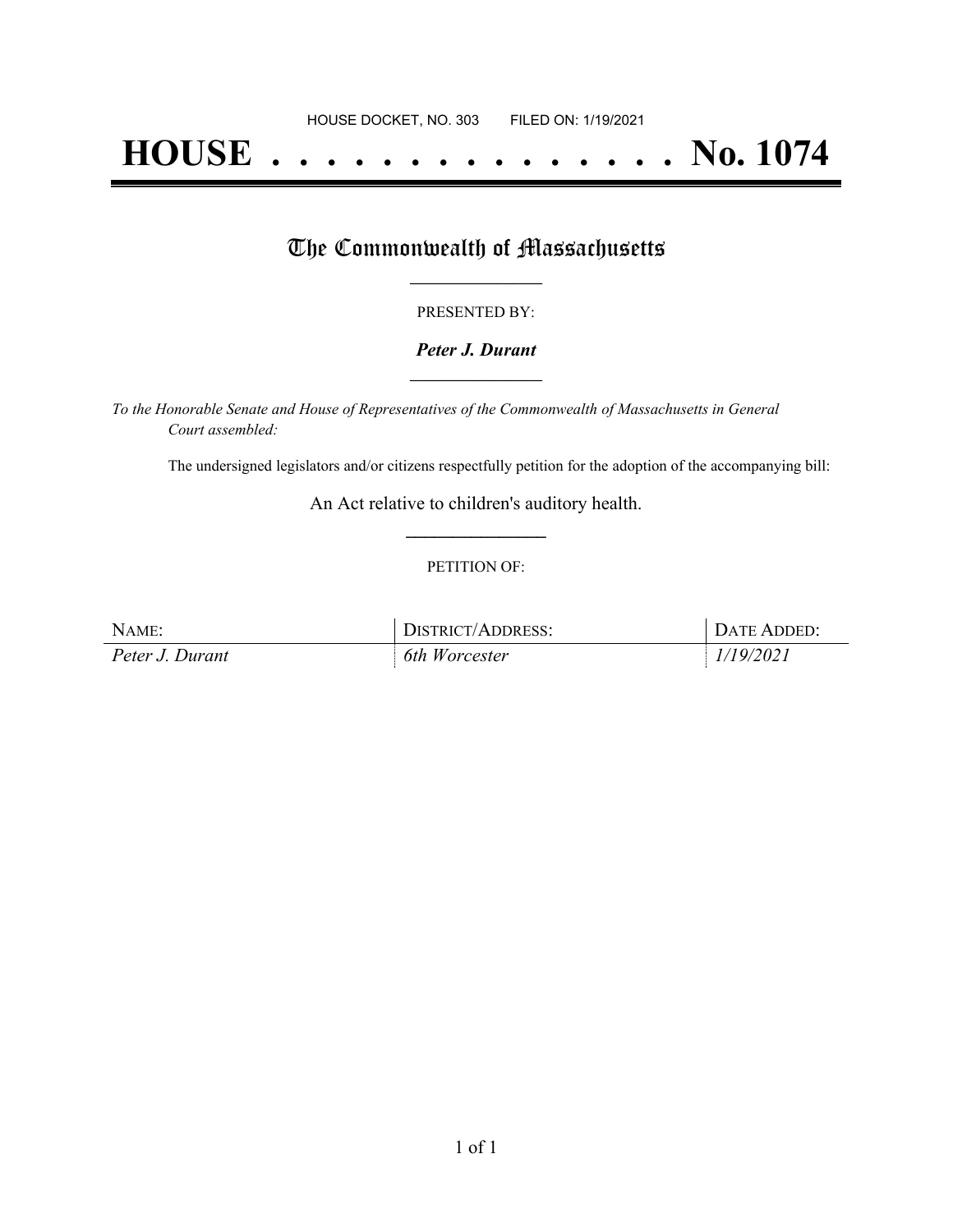# **HOUSE . . . . . . . . . . . . . . . No. 1074**

## The Commonwealth of Massachusetts

#### PRESENTED BY:

#### *Peter J. Durant* **\_\_\_\_\_\_\_\_\_\_\_\_\_\_\_\_\_**

*To the Honorable Senate and House of Representatives of the Commonwealth of Massachusetts in General Court assembled:*

The undersigned legislators and/or citizens respectfully petition for the adoption of the accompanying bill:

An Act relative to children's auditory health. **\_\_\_\_\_\_\_\_\_\_\_\_\_\_\_**

#### PETITION OF:

| NAME:           | DISTRICT/ADDRESS: | DATE ADDED: |
|-----------------|-------------------|-------------|
| Peter J. Durant | $6th$ Worcester   | 1/19/2021   |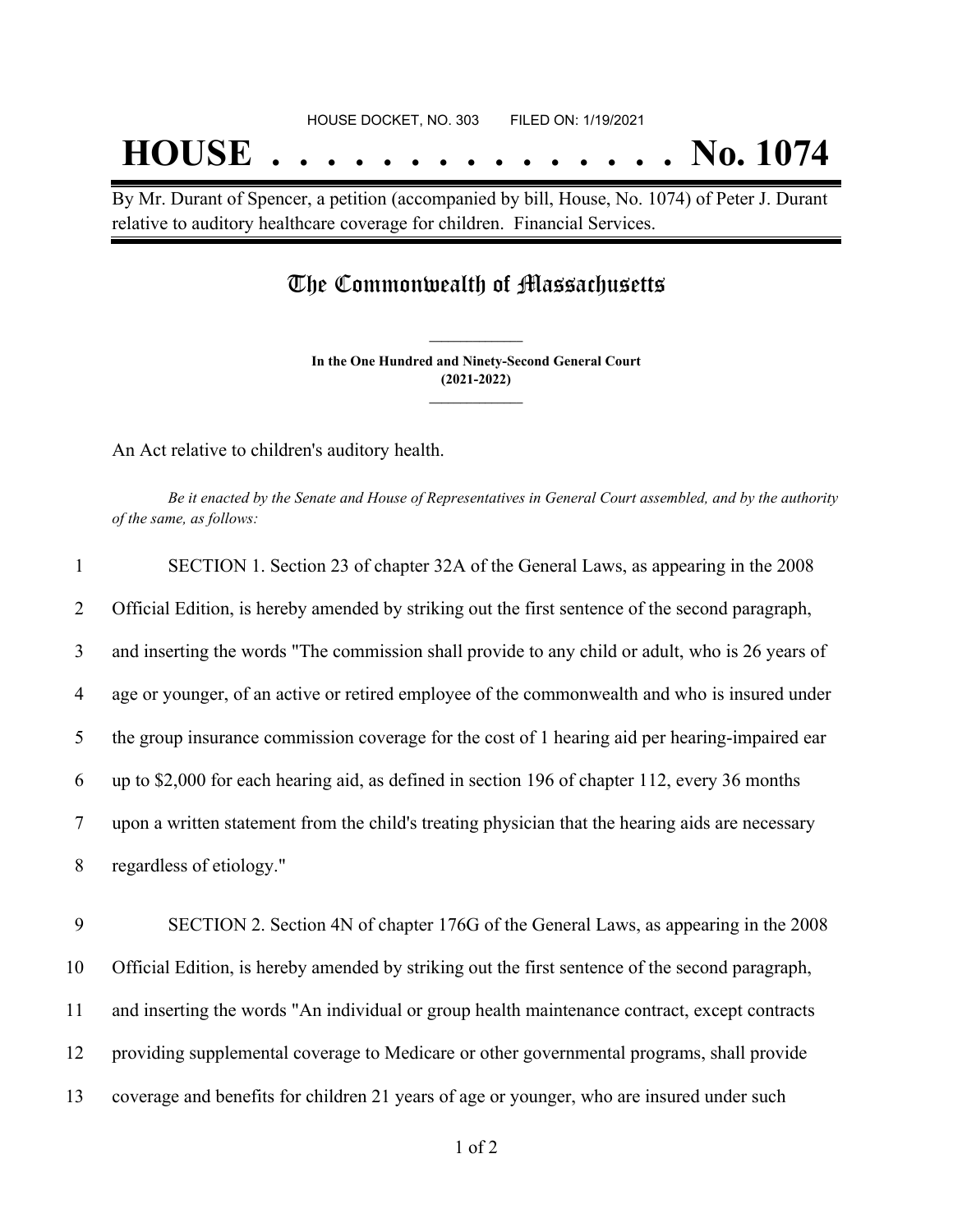By Mr. Durant of Spencer, a petition (accompanied by bill, House, No. 1074) of Peter J. Durant relative to auditory healthcare coverage for children. Financial Services.

### The Commonwealth of Massachusetts

**In the One Hundred and Ninety-Second General Court (2021-2022) \_\_\_\_\_\_\_\_\_\_\_\_\_\_\_**

**\_\_\_\_\_\_\_\_\_\_\_\_\_\_\_**

An Act relative to children's auditory health.

Be it enacted by the Senate and House of Representatives in General Court assembled, and by the authority *of the same, as follows:*

| $\mathbf{1}$   | SECTION 1. Section 23 of chapter 32A of the General Laws, as appearing in the 2008               |
|----------------|--------------------------------------------------------------------------------------------------|
| 2              | Official Edition, is hereby amended by striking out the first sentence of the second paragraph,  |
| 3              | and inserting the words "The commission shall provide to any child or adult, who is 26 years of  |
| $\overline{4}$ | age or younger, of an active or retired employee of the commonwealth and who is insured under    |
| 5              | the group insurance commission coverage for the cost of 1 hearing aid per hearing-impaired ear   |
| 6              | up to \$2,000 for each hearing aid, as defined in section 196 of chapter 112, every 36 months    |
| $\tau$         | upon a written statement from the child's treating physician that the hearing aids are necessary |
| 8              | regardless of etiology."                                                                         |
| 9              | SECTION 2. Section 4N of chapter 176G of the General Laws, as appearing in the 2008              |
| 10             | Official Edition, is hereby amended by striking out the first sentence of the second paragraph,  |
| 11             | and inserting the words "An individual or group health maintenance contract, except contracts    |
| 12             | providing supplemental coverage to Medicare or other governmental programs, shall provide        |
| 13             | coverage and benefits for children 21 years of age or younger, who are insured under such        |
|                |                                                                                                  |